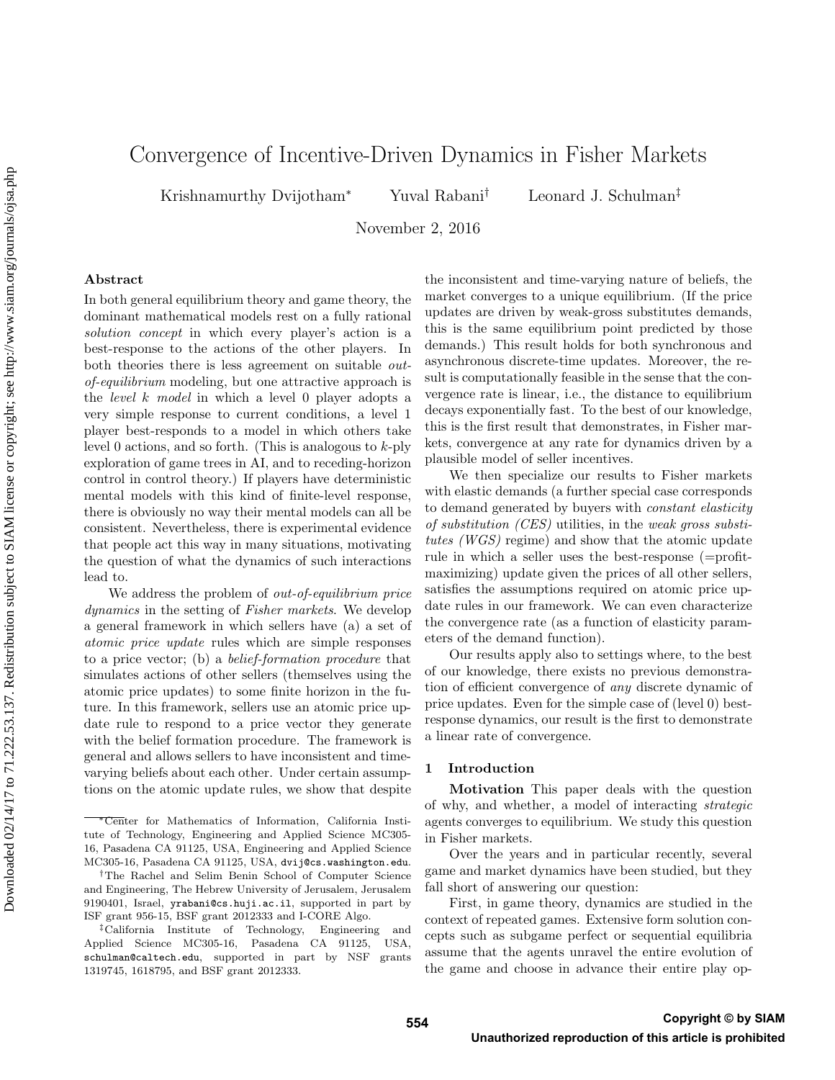# Convergence of Incentive-Driven Dynamics in Fisher Markets

Krishnamurthy Dvijotham<sup>∗</sup> Yuval Rabani<sup>†</sup> Leonard J. Schulman<sup>‡</sup>

November 2, 2016

#### Abstract

In both general equilibrium theory and game theory, the dominant mathematical models rest on a fully rational solution concept in which every player's action is a best-response to the actions of the other players. In both theories there is less agreement on suitable outof-equilibrium modeling, but one attractive approach is the *level*  $k$  model in which a level 0 player adopts a very simple response to current conditions, a level 1 player best-responds to a model in which others take level 0 actions, and so forth. (This is analogous to  $k$ -ply exploration of game trees in AI, and to receding-horizon control in control theory.) If players have deterministic mental models with this kind of finite-level response, there is obviously no way their mental models can all be consistent. Nevertheless, there is experimental evidence that people act this way in many situations, motivating the question of what the dynamics of such interactions lead to.

We address the problem of *out-of-equilibrium price* dynamics in the setting of Fisher markets. We develop a general framework in which sellers have (a) a set of atomic price update rules which are simple responses to a price vector; (b) a belief-formation procedure that simulates actions of other sellers (themselves using the atomic price updates) to some finite horizon in the future. In this framework, sellers use an atomic price update rule to respond to a price vector they generate with the belief formation procedure. The framework is general and allows sellers to have inconsistent and timevarying beliefs about each other. Under certain assumptions on the atomic update rules, we show that despite

the inconsistent and time-varying nature of beliefs, the market converges to a unique equilibrium. (If the price updates are driven by weak-gross substitutes demands, this is the same equilibrium point predicted by those demands.) This result holds for both synchronous and asynchronous discrete-time updates. Moreover, the result is computationally feasible in the sense that the convergence rate is linear, i.e., the distance to equilibrium decays exponentially fast. To the best of our knowledge, this is the first result that demonstrates, in Fisher markets, convergence at any rate for dynamics driven by a plausible model of seller incentives.

We then specialize our results to Fisher markets with elastic demands (a further special case corresponds to demand generated by buyers with constant elasticity of substitution (CES) utilities, in the weak gross substitutes (WGS) regime) and show that the atomic update rule in which a seller uses the best-response (=profitmaximizing) update given the prices of all other sellers, satisfies the assumptions required on atomic price update rules in our framework. We can even characterize the convergence rate (as a function of elasticity parameters of the demand function).

Our results apply also to settings where, to the best of our knowledge, there exists no previous demonstration of efficient convergence of any discrete dynamic of price updates. Even for the simple case of (level 0) bestresponse dynamics, our result is the first to demonstrate a linear rate of convergence.

# 1 Introduction

Motivation This paper deals with the question of why, and whether, a model of interacting strategic agents converges to equilibrium. We study this question in Fisher markets.

Over the years and in particular recently, several game and market dynamics have been studied, but they fall short of answering our question:

First, in game theory, dynamics are studied in the context of repeated games. Extensive form solution concepts such as subgame perfect or sequential equilibria assume that the agents unravel the entire evolution of the game and choose in advance their entire play op-

<sup>∗</sup>Center for Mathematics of Information, California Institute of Technology, Engineering and Applied Science MC305- 16, Pasadena CA 91125, USA, Engineering and Applied Science MC305-16, Pasadena CA 91125, USA, dvij@cs.washington.edu.

<sup>†</sup>The Rachel and Selim Benin School of Computer Science and Engineering, The Hebrew University of Jerusalem, Jerusalem 9190401, Israel, yrabani@cs.huji.ac.il, supported in part by ISF grant 956-15, BSF grant 2012333 and I-CORE Algo.

<sup>‡</sup>California Institute of Technology, Engineering and Applied Science MC305-16, Pasadena CA 91125, USA, schulman@caltech.edu, supported in part by NSF grants 1319745, 1618795, and BSF grant 2012333.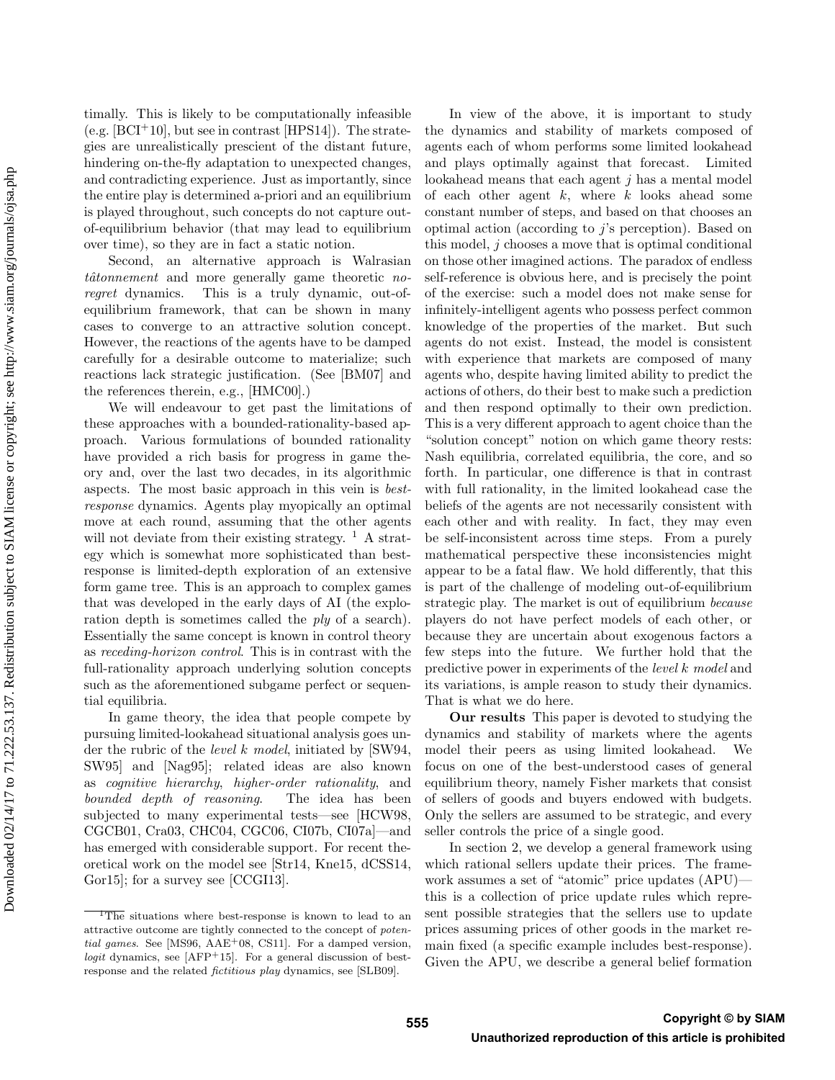timally. This is likely to be computationally infeasible (e.g.  $[BCI^+10]$ , but see in contrast  $[HPS14]$ ). The strategies are unrealistically prescient of the distant future, hindering on-the-fly adaptation to unexpected changes, and contradicting experience. Just as importantly, since the entire play is determined a-priori and an equilibrium is played throughout, such concepts do not capture outof-equilibrium behavior (that may lead to equilibrium over time), so they are in fact a static notion.

Second, an alternative approach is Walrasian  $t\hat{a}tonnement$  and more generally game theoretic noregret dynamics. This is a truly dynamic, out-ofequilibrium framework, that can be shown in many cases to converge to an attractive solution concept. However, the reactions of the agents have to be damped carefully for a desirable outcome to materialize; such reactions lack strategic justification. (See [BM07] and the references therein, e.g., [HMC00].)

We will endeavour to get past the limitations of these approaches with a bounded-rationality-based approach. Various formulations of bounded rationality have provided a rich basis for progress in game theory and, over the last two decades, in its algorithmic aspects. The most basic approach in this vein is bestresponse dynamics. Agents play myopically an optimal move at each round, assuming that the other agents will not deviate from their existing strategy.  $\frac{1}{1}$  A strategy which is somewhat more sophisticated than bestresponse is limited-depth exploration of an extensive form game tree. This is an approach to complex games that was developed in the early days of AI (the exploration depth is sometimes called the ply of a search). Essentially the same concept is known in control theory as receding-horizon control. This is in contrast with the full-rationality approach underlying solution concepts such as the aforementioned subgame perfect or sequential equilibria.

In game theory, the idea that people compete by pursuing limited-lookahead situational analysis goes under the rubric of the level k model, initiated by [SW94, SW95] and [Nag95]; related ideas are also known as cognitive hierarchy, higher-order rationality, and bounded depth of reasoning. The idea has been subjected to many experimental tests—see [HCW98, CGCB01, Cra03, CHC04, CGC06, CI07b, CI07a]—and has emerged with considerable support. For recent theoretical work on the model see [Str14, Kne15, dCSS14, Gor15]; for a survey see [CCGI13].

In view of the above, it is important to study the dynamics and stability of markets composed of agents each of whom performs some limited lookahead and plays optimally against that forecast. Limited lookahead means that each agent  $j$  has a mental model of each other agent  $k$ , where  $k$  looks ahead some constant number of steps, and based on that chooses an optimal action (according to j's perception). Based on this model, j chooses a move that is optimal conditional on those other imagined actions. The paradox of endless self-reference is obvious here, and is precisely the point of the exercise: such a model does not make sense for infinitely-intelligent agents who possess perfect common knowledge of the properties of the market. But such agents do not exist. Instead, the model is consistent with experience that markets are composed of many agents who, despite having limited ability to predict the actions of others, do their best to make such a prediction and then respond optimally to their own prediction. This is a very different approach to agent choice than the "solution concept" notion on which game theory rests: Nash equilibria, correlated equilibria, the core, and so forth. In particular, one difference is that in contrast with full rationality, in the limited lookahead case the beliefs of the agents are not necessarily consistent with each other and with reality. In fact, they may even be self-inconsistent across time steps. From a purely mathematical perspective these inconsistencies might appear to be a fatal flaw. We hold differently, that this is part of the challenge of modeling out-of-equilibrium strategic play. The market is out of equilibrium because players do not have perfect models of each other, or because they are uncertain about exogenous factors a few steps into the future. We further hold that the predictive power in experiments of the level k model and its variations, is ample reason to study their dynamics. That is what we do here.

Our results This paper is devoted to studying the dynamics and stability of markets where the agents model their peers as using limited lookahead. We focus on one of the best-understood cases of general equilibrium theory, namely Fisher markets that consist of sellers of goods and buyers endowed with budgets. Only the sellers are assumed to be strategic, and every seller controls the price of a single good.

In section 2, we develop a general framework using which rational sellers update their prices. The framework assumes a set of "atomic" price updates (APU) this is a collection of price update rules which represent possible strategies that the sellers use to update prices assuming prices of other goods in the market remain fixed (a specific example includes best-response). Given the APU, we describe a general belief formation

<sup>1</sup>The situations where best-response is known to lead to an attractive outcome are tightly connected to the concept of potential games. See [MS96,  $AAE+08$ , CS11]. For a damped version, logit dynamics, see [AFP+15]. For a general discussion of bestresponse and the related fictitious play dynamics, see [SLB09].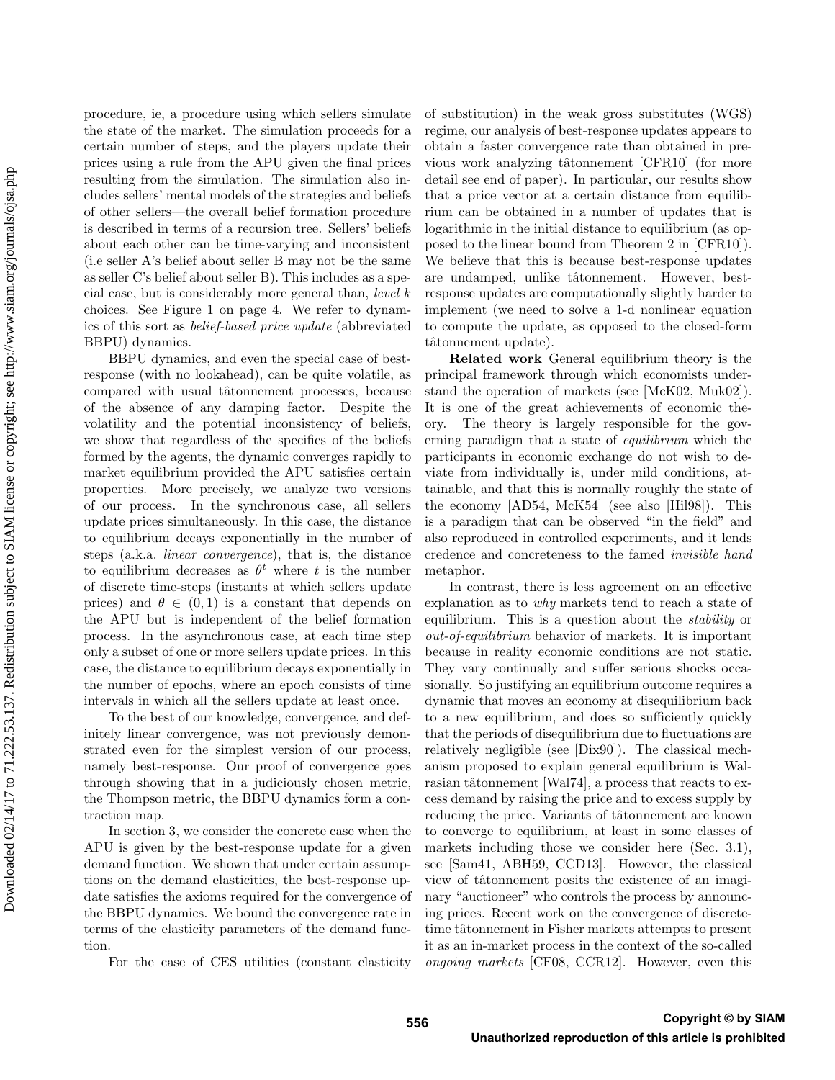procedure, ie, a procedure using which sellers simulate the state of the market. The simulation proceeds for a certain number of steps, and the players update their prices using a rule from the APU given the final prices resulting from the simulation. The simulation also includes sellers' mental models of the strategies and beliefs of other sellers—the overall belief formation procedure is described in terms of a recursion tree. Sellers' beliefs about each other can be time-varying and inconsistent (i.e seller A's belief about seller B may not be the same as seller C's belief about seller B). This includes as a special case, but is considerably more general than, level k choices. See Figure 1 on page 4. We refer to dynamics of this sort as belief-based price update (abbreviated BBPU) dynamics.

BBPU dynamics, and even the special case of bestresponse (with no lookahead), can be quite volatile, as compared with usual tâtonnement processes, because of the absence of any damping factor. Despite the volatility and the potential inconsistency of beliefs, we show that regardless of the specifics of the beliefs formed by the agents, the dynamic converges rapidly to market equilibrium provided the APU satisfies certain properties. More precisely, we analyze two versions of our process. In the synchronous case, all sellers update prices simultaneously. In this case, the distance to equilibrium decays exponentially in the number of steps (a.k.a. linear convergence), that is, the distance to equilibrium decreases as  $\theta^t$  where t is the number of discrete time-steps (instants at which sellers update prices) and  $\theta \in (0,1)$  is a constant that depends on the APU but is independent of the belief formation process. In the asynchronous case, at each time step only a subset of one or more sellers update prices. In this case, the distance to equilibrium decays exponentially in the number of epochs, where an epoch consists of time intervals in which all the sellers update at least once.

To the best of our knowledge, convergence, and definitely linear convergence, was not previously demonstrated even for the simplest version of our process, namely best-response. Our proof of convergence goes through showing that in a judiciously chosen metric, the Thompson metric, the BBPU dynamics form a contraction map.

In section 3, we consider the concrete case when the APU is given by the best-response update for a given demand function. We shown that under certain assumptions on the demand elasticities, the best-response update satisfies the axioms required for the convergence of the BBPU dynamics. We bound the convergence rate in terms of the elasticity parameters of the demand function.

For the case of CES utilities (constant elasticity

of substitution) in the weak gross substitutes (WGS) regime, our analysis of best-response updates appears to obtain a faster convergence rate than obtained in previous work analyzing tâtonnement [CFR10] (for more detail see end of paper). In particular, our results show that a price vector at a certain distance from equilibrium can be obtained in a number of updates that is logarithmic in the initial distance to equilibrium (as opposed to the linear bound from Theorem 2 in [CFR10]). We believe that this is because best-response updates are undamped, unlike tâtonnement. However, bestresponse updates are computationally slightly harder to implement (we need to solve a 1-d nonlinear equation to compute the update, as opposed to the closed-form tâtonnement update).

Related work General equilibrium theory is the principal framework through which economists understand the operation of markets (see [McK02, Muk02]). It is one of the great achievements of economic theory. The theory is largely responsible for the governing paradigm that a state of equilibrium which the participants in economic exchange do not wish to deviate from individually is, under mild conditions, attainable, and that this is normally roughly the state of the economy [AD54, McK54] (see also [Hil98]). This is a paradigm that can be observed "in the field" and also reproduced in controlled experiments, and it lends credence and concreteness to the famed invisible hand metaphor.

In contrast, there is less agreement on an effective explanation as to why markets tend to reach a state of equilibrium. This is a question about the stability or out-of-equilibrium behavior of markets. It is important because in reality economic conditions are not static. They vary continually and suffer serious shocks occasionally. So justifying an equilibrium outcome requires a dynamic that moves an economy at disequilibrium back to a new equilibrium, and does so sufficiently quickly that the periods of disequilibrium due to fluctuations are relatively negligible (see [Dix90]). The classical mechanism proposed to explain general equilibrium is Walrasian tâtonnement [Wal74], a process that reacts to excess demand by raising the price and to excess supply by reducing the price. Variants of tâtonnement are known to converge to equilibrium, at least in some classes of markets including those we consider here (Sec. 3.1), see [Sam41, ABH59, CCD13]. However, the classical view of tâtonnement posits the existence of an imaginary "auctioneer" who controls the process by announcing prices. Recent work on the convergence of discretetime tâtonnement in Fisher markets attempts to present it as an in-market process in the context of the so-called ongoing markets [CF08, CCR12]. However, even this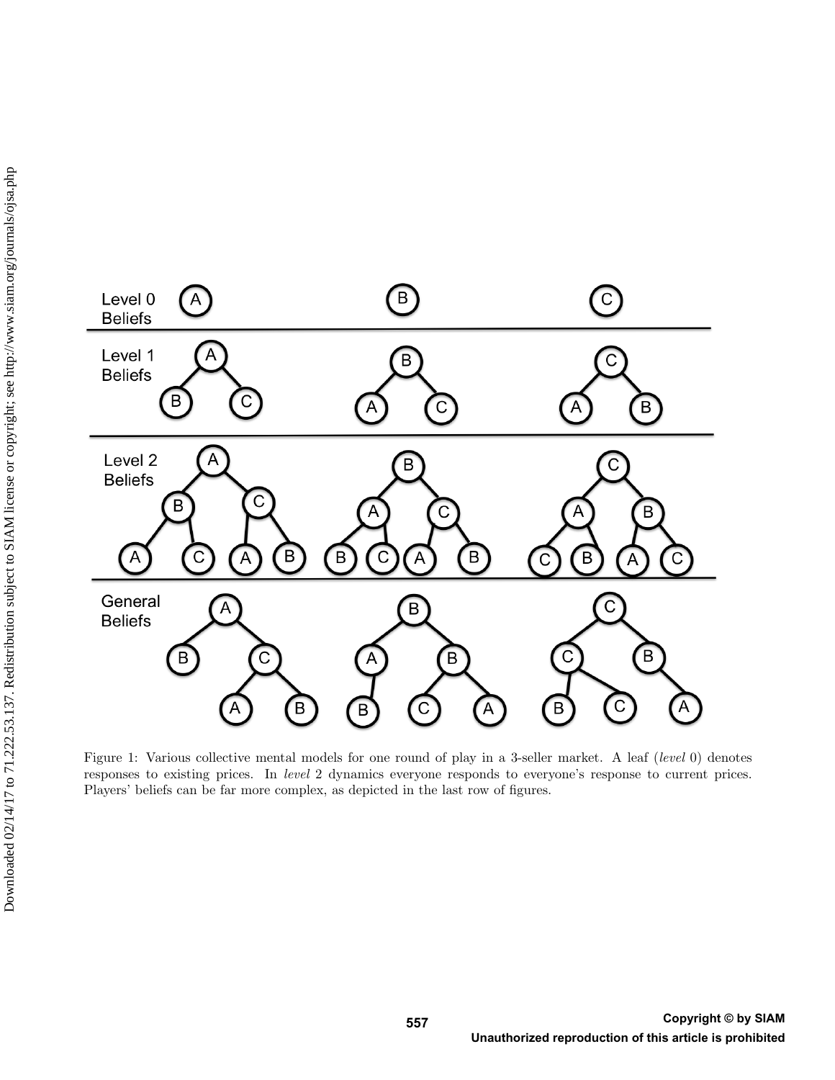

Figure 1: Various collective mental models for one round of play in a 3-seller market. A leaf (level 0) denotes responses to existing prices. In level 2 dynamics everyone responds to everyone's response to current prices. Players' beliefs can be far more complex, as depicted in the last row of figures.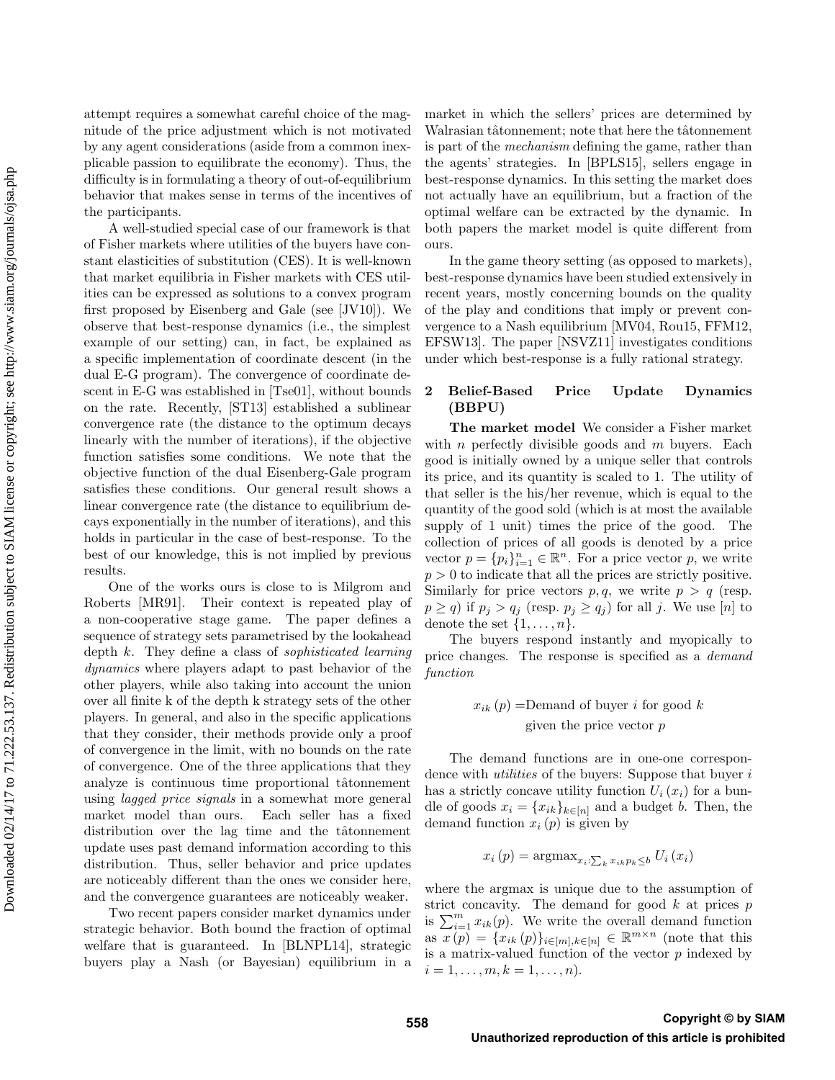attempt requires a somewhat careful choice of the magnitude of the price adjustment which is not motivated by any agent considerations (aside from a common inexplicable passion to equilibrate the economy). Thus, the difficulty is in formulating a theory of out-of-equilibrium behavior that makes sense in terms of the incentives of the participants.

A well-studied special case of our framework is that of Fisher markets where utilities of the buyers have constant elasticities of substitution (CES). It is well-known that market equilibria in Fisher markets with CES utilities can be expressed as solutions to a convex program first proposed by Eisenberg and Gale (see [JV10]). We observe that best-response dynamics (i.e., the simplest example of our setting) can, in fact, be explained as a specific implementation of coordinate descent (in the dual E-G program). The convergence of coordinate descent in E-G was established in [Tse01], without bounds on the rate. Recently, [ST13] established a sublinear convergence rate (the distance to the optimum decays linearly with the number of iterations), if the objective function satisfies some conditions. We note that the objective function of the dual Eisenberg-Gale program satisfies these conditions. Our general result shows a linear convergence rate (the distance to equilibrium decays exponentially in the number of iterations), and this holds in particular in the case of best-response. To the best of our knowledge, this is not implied by previous results.

One of the works ours is close to is Milgrom and Roberts [MR91]. Their context is repeated play of a non-cooperative stage game. The paper defines a sequence of strategy sets parametrised by the lookahead depth  $k$ . They define a class of *sophisticated learning* dynamics where players adapt to past behavior of the other players, while also taking into account the union over all finite k of the depth k strategy sets of the other players. In general, and also in the specific applications that they consider, their methods provide only a proof of convergence in the limit, with no bounds on the rate of convergence. One of the three applications that they analyze is continuous time proportional tâtonnement using lagged price signals in a somewhat more general market model than ours. Each seller has a fixed distribution over the lag time and the tâtonnement update uses past demand information according to this distribution. Thus, seller behavior and price updates are noticeably different than the ones we consider here, and the convergence guarantees are noticeably weaker.

Two recent papers consider market dynamics under strategic behavior. Both bound the fraction of optimal welfare that is guaranteed. In [BLNPL14], strategic buyers play a Nash (or Bayesian) equilibrium in a

market in which the sellers' prices are determined by Walrasian tâtonnement; note that here the tâtonnement is part of the mechanism defining the game, rather than the agents' strategies. In [BPLS15], sellers engage in best-response dynamics. In this setting the market does not actually have an equilibrium, but a fraction of the optimal welfare can be extracted by the dynamic. In both papers the market model is quite different from ours.

In the game theory setting (as opposed to markets), best-response dynamics have been studied extensively in recent years, mostly concerning bounds on the quality of the play and conditions that imply or prevent convergence to a Nash equilibrium [MV04, Rou15, FFM12, EFSW13]. The paper [NSVZ11] investigates conditions under which best-response is a fully rational strategy.

# 2 Belief-Based Price Update Dynamics (BBPU)

The market model We consider a Fisher market with *n* perfectly divisible goods and  $m$  buyers. Each good is initially owned by a unique seller that controls its price, and its quantity is scaled to 1. The utility of that seller is the his/her revenue, which is equal to the quantity of the good sold (which is at most the available supply of 1 unit) times the price of the good. The collection of prices of all goods is denoted by a price vector  $p = \{p_i\}_{i=1}^n \in \mathbb{R}^n$ . For a price vector p, we write  $p > 0$  to indicate that all the prices are strictly positive. Similarly for price vectors  $p, q$ , we write  $p > q$  (resp.  $p \ge q$ ) if  $p_j > q_j$  (resp.  $p_j \ge q_j$ ) for all j. We use [n] to denote the set  $\{1, \ldots, n\}$ .

The buyers respond instantly and myopically to price changes. The response is specified as a demand function

$$
x_{ik}(p) =
$$
Demand of buyer *i* for good *k* given the price vector *p*

The demand functions are in one-one correspondence with *utilities* of the buyers: Suppose that buyer  $i$ has a strictly concave utility function  $U_i(x_i)$  for a bundle of goods  $x_i = \{x_{ik}\}_{k\in[n]}$  and a budget b. Then, the demand function  $x_i(p)$  is given by

$$
x_i(p) = \operatorname{argmax}_{x_i: \sum_k x_{ik} p_k \leq b} U_i(x_i)
$$

where the argmax is unique due to the assumption of strict concavity. The demand for good  $k$  at prices  $p$ is  $\sum_{i=1}^{m} x_{ik}(p)$ . We write the overall demand function as  $\overline{x(p)} = \{x_{ik}(p)\}_{i \in [m], k \in [n]} \in \mathbb{R}^{m \times n}$  (note that this is a matrix-valued function of the vector  $p$  indexed by  $i = 1, \ldots, m, k = 1, \ldots, n$ .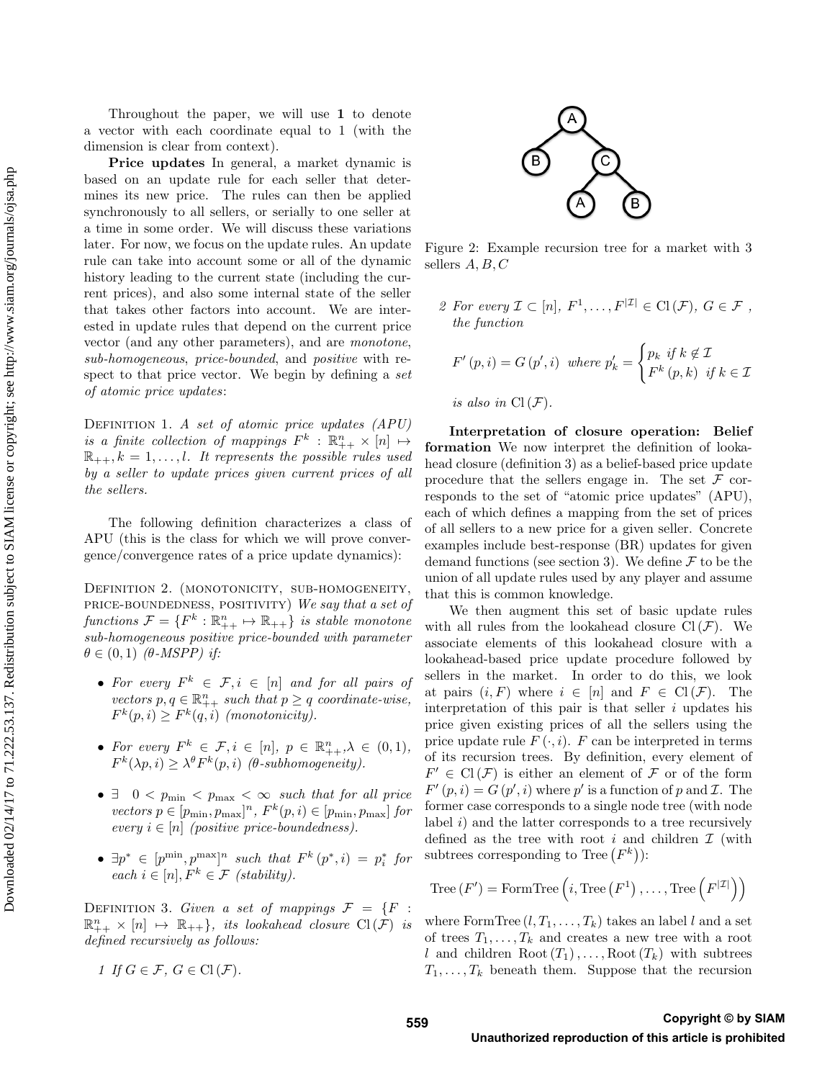Throughout the paper, we will use 1 to denote a vector with each coordinate equal to 1 (with the dimension is clear from context).

Price updates In general, a market dynamic is based on an update rule for each seller that determines its new price. The rules can then be applied synchronously to all sellers, or serially to one seller at a time in some order. We will discuss these variations later. For now, we focus on the update rules. An update rule can take into account some or all of the dynamic history leading to the current state (including the current prices), and also some internal state of the seller that takes other factors into account. We are interested in update rules that depend on the current price vector (and any other parameters), and are monotone, sub-homogeneous, price-bounded, and positive with respect to that price vector. We begin by defining a set of atomic price updates:

DEFINITION 1. A set of atomic price updates  $APU$ is a finite collection of mappings  $F^k : \mathbb{R}^n_{++} \times [n] \mapsto$  $\mathbb{R}_{++}, k = 1, \ldots, l$ . It represents the possible rules used by a seller to update prices given current prices of all the sellers.

The following definition characterizes a class of APU (this is the class for which we will prove convergence/convergence rates of a price update dynamics):

DEFINITION 2. (MONOTONICITY, SUB-HOMOGENEITY, price-boundedness, positivity) We say that a set of  $\textit{functions} \; \mathcal{F} = \{ F^k : \mathbb{R}_{++}^n \mapsto \mathbb{R}_{++} \} \; \textit{is stable monotone}$ sub-homogeneous positive price-bounded with parameter  $\theta \in (0,1)$  (θ-MSPP) if:

- For every  $F^k \in \mathcal{F}, i \in [n]$  and for all pairs of vectors  $p, q \in \mathbb{R}_{++}^n$  such that  $p \geq q$  coordinate-wise,  $F^k(p, i) \geq F^k(q, i)$  (monotonicity).
- For every  $F^k \in \mathcal{F}, i \in [n], p \in \mathbb{R}_{++}^n, \lambda \in (0,1),$  $F^k(\lambda p, i) \geq \lambda^{\theta} F^k(p, i)$  ( $\theta$ -subhomogeneity).
- $\exists$  0 <  $p_{\text{min}}$  <  $p_{\text{max}}$  <  $\infty$  such that for all price vectors  $p \in [p_{\min}, p_{\max}]^n$ ,  $F^k(p, i) \in [p_{\min}, p_{\max}]$  for every  $i \in [n]$  (positive price-boundedness).
- $\exists p^* \in [p^{\min}, p^{\max}]^n$  such that  $F^k(p^*, i) = p_i^*$  for each  $i \in [n], F^k \in \mathcal{F}$  (stability).

DEFINITION 3. Given a set of mappings  $\mathcal{F} = \{F :$  $\mathbb{R}^n_{++} \times [n] \mapsto \mathbb{R}_{++}$ , its lookahead closure  $\text{Cl}(\mathcal{F})$  is defined recursively as follows:

$$
1 \text{ If } G \in \mathcal{F}, \ G \in \text{Cl}(\mathcal{F}).
$$



Figure 2: Example recursion tree for a market with 3 sellers  $A, B, C$ 

2 For every  $\mathcal{I} \subset [n], F^1, \ldots, F^{|\mathcal{I}|} \in \mathrm{Cl}(\mathcal{F}), G \in \mathcal{F}$ , the function

$$
F'(p,i) = G(p',i) \text{ where } p'_k = \begin{cases} p_k & \text{if } k \notin \mathcal{I} \\ F^k(p,k) & \text{if } k \in \mathcal{I} \end{cases}
$$

is also in  $Cl(\mathcal{F})$ .

Interpretation of closure operation: Belief formation We now interpret the definition of lookahead closure (definition 3) as a belief-based price update procedure that the sellers engage in. The set  $\mathcal F$  corresponds to the set of "atomic price updates" (APU), each of which defines a mapping from the set of prices of all sellers to a new price for a given seller. Concrete examples include best-response (BR) updates for given demand functions (see section 3). We define  $\mathcal F$  to be the union of all update rules used by any player and assume that this is common knowledge.

We then augment this set of basic update rules with all rules from the lookahead closure  $Cl(\mathcal{F})$ . We associate elements of this lookahead closure with a lookahead-based price update procedure followed by sellers in the market. In order to do this, we look at pairs  $(i, F)$  where  $i \in [n]$  and  $F \in \text{Cl}(\mathcal{F})$ . The interpretation of this pair is that seller  $i$  updates his price given existing prices of all the sellers using the price update rule  $F(\cdot, i)$ . F can be interpreted in terms of its recursion trees. By definition, every element of  $F' \in \text{Cl}(\mathcal{F})$  is either an element of  $\mathcal F$  or of the form  $F'(p, i) = G(p', i)$  where p' is a function of p and  $\mathcal{I}$ . The former case corresponds to a single node tree (with node label  $i$ ) and the latter corresponds to a tree recursively defined as the tree with root i and children  $\mathcal I$  (with subtrees corresponding to Tree  $(F^k)$ :

$$
Tree(F') = FormTree(i, Tree(F1), ..., Tree(F|\mathcal{I}|))
$$

where FormTree  $(l, T_1, \ldots, T_k)$  takes an label l and a set of trees  $T_1, \ldots, T_k$  and creates a new tree with a root l and children  $Root(T_1), \ldots, Root(T_k)$  with subtrees  $T_1, \ldots, T_k$  beneath them. Suppose that the recursion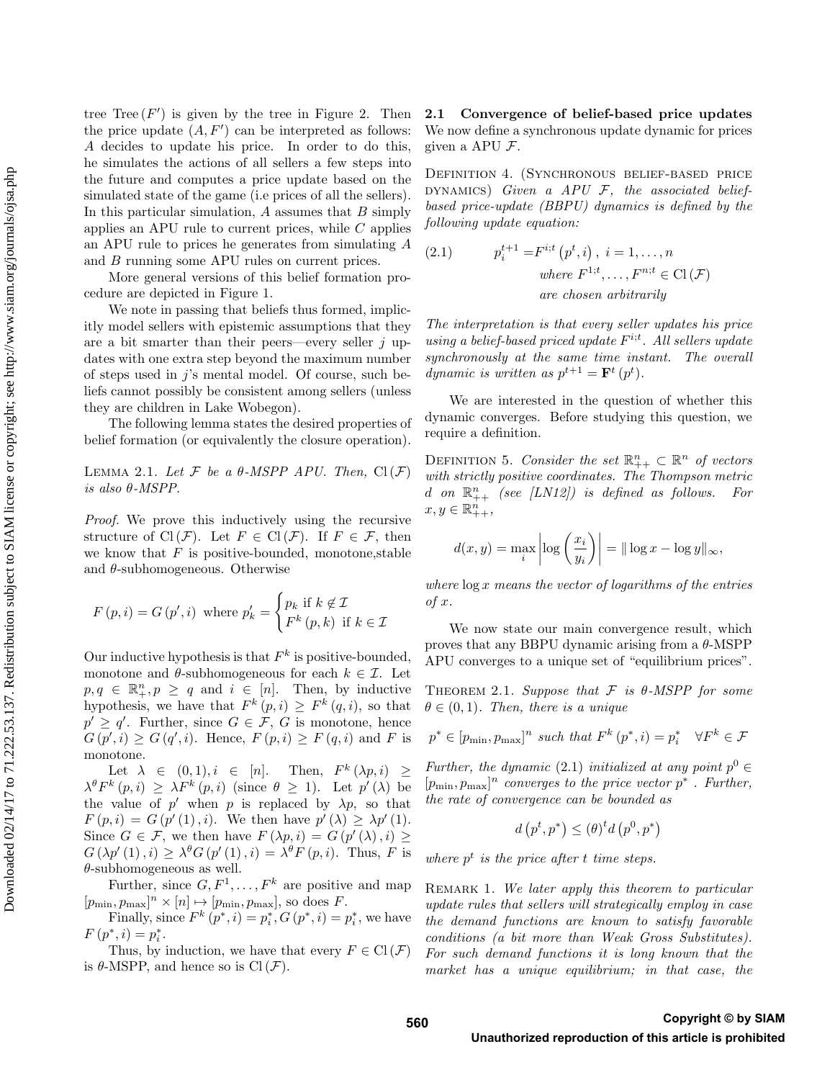Downloaded 02/14/17 to 71.222.53.137. Redistribution subject to SIAM license or copyright; see http://www.siam.org/journals/ojsa.php Downloaded 02/14/17 to 71.222.53.137. Redistribution subject to SIAM license or copyright; see http://www.siam.org/journals/ojsa.php

tree Tree  $(F')$  is given by the tree in Figure 2. Then the price update  $(A, F')$  can be interpreted as follows: A decides to update his price. In order to do this, he simulates the actions of all sellers a few steps into the future and computes a price update based on the simulated state of the game (i.e prices of all the sellers). In this particular simulation,  $A$  assumes that  $B$  simply applies an APU rule to current prices, while  $C$  applies an APU rule to prices he generates from simulating A and B running some APU rules on current prices.

More general versions of this belief formation procedure are depicted in Figure 1.

We note in passing that beliefs thus formed, implicitly model sellers with epistemic assumptions that they are a bit smarter than their peers—every seller  $j$  updates with one extra step beyond the maximum number of steps used in  $j$ 's mental model. Of course, such beliefs cannot possibly be consistent among sellers (unless they are children in Lake Wobegon).

The following lemma states the desired properties of belief formation (or equivalently the closure operation).

# LEMMA 2.1. Let  $\mathcal F$  be a  $\theta$ -MSPP APU. Then,  $Cl(\mathcal F)$ is also θ-MSPP.

Proof. We prove this inductively using the recursive structure of  $Cl(\mathcal{F})$ . Let  $F \in Cl(\mathcal{F})$ . If  $F \in \mathcal{F}$ , then we know that  $F$  is positive-bounded, monotone, stable and  $\theta$ -subhomogeneous. Otherwise

$$
F(p, i) = G(p', i) \text{ where } p'_k = \begin{cases} p_k \text{ if } k \notin \mathcal{I} \\ F^k(p, k) \text{ if } k \in \mathcal{I} \end{cases}
$$

Our inductive hypothesis is that  $F^k$  is positive-bounded, monotone and  $\theta$ -subhomogeneous for each  $k \in \mathcal{I}$ . Let  $p, q \in \mathbb{R}_+^n, p \ge q$  and  $i \in [n]$ . Then, by inductive hypothesis, we have that  $F^k(p, i) \geq F^k(q, i)$ , so that  $p' \geq q'$ . Further, since  $G \in \mathcal{F}$ , G is monotone, hence  $G(p', i) \geq G(q', i)$ . Hence,  $F(p, i) \geq F(q, i)$  and F is monotone.

Let  $\lambda \in (0,1), i \in [n]$ . Then,  $F^k(\lambda p, i) \geq$  $\lambda^{\theta} F^{k}(p, i) \geq \lambda F^{k}(p, i)$  (since  $\theta \geq 1$ ). Let  $p'(\lambda)$  be the value of  $p'$  when p is replaced by  $\lambda p$ , so that  $F(p, i) = G(p'(1), i)$ . We then have  $p'(\lambda) \ge \lambda p'(1)$ . Since  $G \in \mathcal{F}$ , we then have  $F(\lambda p, i) = G(p'(\lambda), i) \geq$  $G(\lambda p'(1), i) \geq \lambda^{\theta} G(p'(1), i) = \lambda^{\theta} F(p, i)$ . Thus, F is  $\theta$ -subhomogeneous as well.

Further, since  $G, F^1, \ldots, F^k$  are positive and map  $[p_{\min}, p_{\max}]^n \times [n] \mapsto [p_{\min}, p_{\max}]$ , so does F.

Finally, since  $F^k(p^*, i) = p_i^*, G(p^*, i) = p_i^*$ , we have  $F(p^*, i) = p_i^*.$ 

Thus, by induction, we have that every  $F \in \mathrm{Cl}(\mathcal{F})$ is  $\theta$ -MSPP, and hence so is Cl( $\mathcal{F}$ ).

2.1 Convergence of belief-based price updates We now define a synchronous update dynamic for prices given a APU  $\mathcal{F}$ .

Definition 4. (Synchronous belief-based price DYNAMICS) Given a  $APU \nightharpoondown F$ , the associated beliefbased price-update (BBPU) dynamics is defined by the following update equation:

(2.1) 
$$
p_i^{t+1} = F^{i;t} (p^t, i), i = 1, ..., n
$$
  
where  $F^{1;t}, ..., F^{n;t} \in \text{Cl}(\mathcal{F})$   
are chosen arbitrarily

The interpretation is that every seller updates his price using a belief-based priced update  $F^{i;t}$ . All sellers update synchronously at the same time instant. The overall dynamic is written as  $p^{t+1} = \mathbf{F}^t (p^t)$ .

We are interested in the question of whether this dynamic converges. Before studying this question, we require a definition.

DEFINITION 5. Consider the set  $\mathbb{R}^n_{++} \subset \mathbb{R}^n$  of vectors with strictly positive coordinates. The Thompson metric d on  $\mathbb{R}^n_{++}$  (see [LN12]) is defined as follows. For  $x, y \in \mathbb{R}^n_{++}$ ,

$$
d(x,y) = \max_{i} \left| \log \left( \frac{x_i}{y_i} \right) \right| = ||\log x - \log y||_{\infty},
$$

where  $\log x$  means the vector of logarithms of the entries  $of x.$ 

We now state our main convergence result, which proves that any BBPU dynamic arising from a  $\theta$ -MSPP APU converges to a unique set of "equilibrium prices".

THEOREM 2.1. Suppose that  $F$  is  $\theta$ -MSPP for some  $\theta \in (0, 1)$ . Then, there is a unique

$$
p^* \in [p_{\min}, p_{\max}]^n \text{ such that } F^k(p^*, i) = p_i^* \quad \forall F^k \in \mathcal{F}
$$

Further, the dynamic (2.1) initialized at any point  $p^0 \in$  $[p_{\min}, p_{\max}]^n$  converges to the price vector  $p^*$ . Further, the rate of convergence can be bounded as

$$
d(p^t, p^*) \le (\theta)^t d(p^0, p^*)
$$

where  $p^t$  is the price after t time steps.

REMARK 1. We later apply this theorem to particular update rules that sellers will strategically employ in case the demand functions are known to satisfy favorable conditions (a bit more than Weak Gross Substitutes). For such demand functions it is long known that the market has a unique equilibrium; in that case, the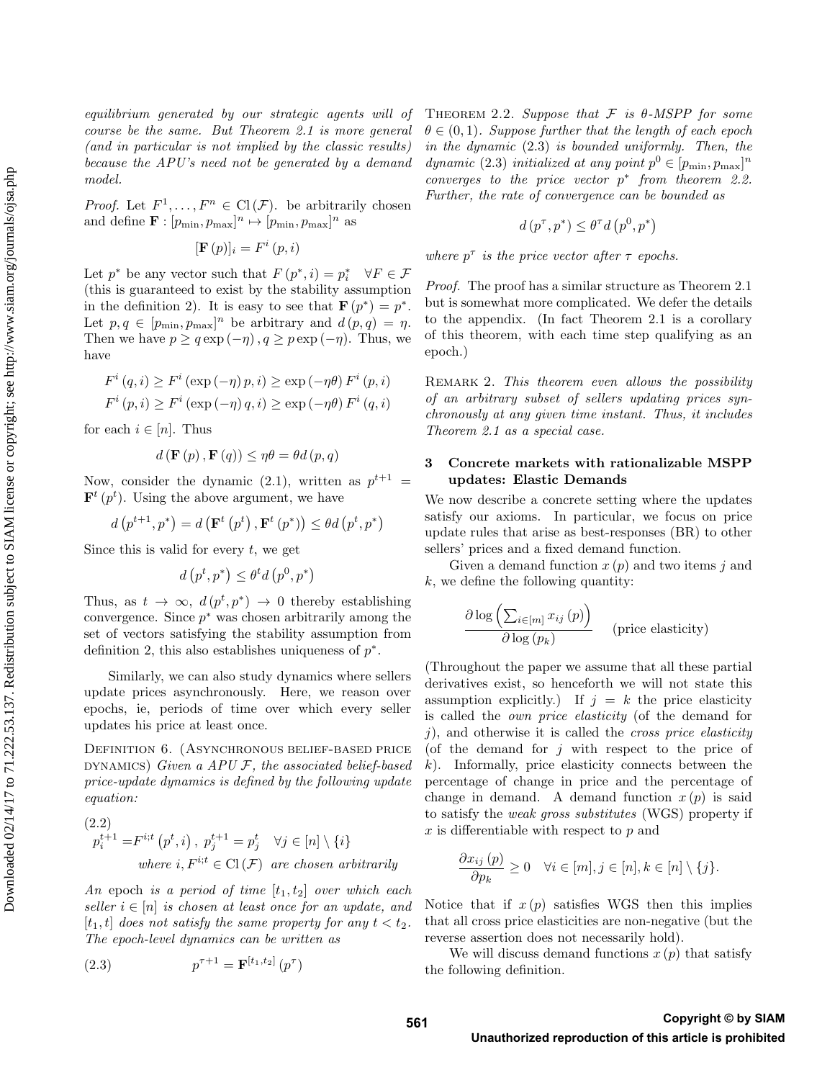equilibrium generated by our strategic agents will of course be the same. But Theorem 2.1 is more general (and in particular is not implied by the classic results) because the APU's need not be generated by a demand model.

*Proof.* Let  $F^1, \ldots, F^n \in \mathrm{Cl}(\mathcal{F})$ . be arbitrarily chosen and define  $\mathbf{F} : [p_{\min}, p_{\max}]^n \mapsto [p_{\min}, p_{\max}]^n$  as

$$
[\mathbf{F}(p)]_i = F^i(p, i)
$$

Let  $p^*$  be any vector such that  $F(p^*, i) = p_i^*$   $\forall F \in \mathcal{F}$ (this is guaranteed to exist by the stability assumption in the definition 2). It is easy to see that  $\mathbf{F}(p^*) = p^*$ . Let  $p, q \in [p_{\min}, p_{\max}]^n$  be arbitrary and  $d(p, q) = \eta$ . Then we have  $p \geq q \exp(-\eta)$ ,  $q \geq p \exp(-\eta)$ . Thus, we have

$$
F^{i}(q, i) \ge F^{i}(\exp(-\eta) p, i) \ge \exp(-\eta \theta) F^{i}(p, i)
$$
  

$$
F^{i}(p, i) \ge F^{i}(\exp(-\eta) q, i) \ge \exp(-\eta \theta) F^{i}(q, i)
$$

for each  $i \in [n]$ . Thus

$$
d\left(\mathbf{F}\left(p\right),\mathbf{F}\left(q\right)\right) \leq \eta\theta = \theta d\left(p,q\right)
$$

Now, consider the dynamic (2.1), written as  $p^{t+1}$  =  $\mathbf{F}^{t}(p^{t})$ . Using the above argument, we have

$$
d(p^{t+1}, p^*) = d(\mathbf{F}^t(p^t), \mathbf{F}^t(p^*)) \leq \theta d(p^t, p^*)
$$

Since this is valid for every  $t$ , we get

$$
d(p^t, p^*) \leq \theta^t d(p^0, p^*)
$$

Thus, as  $t \to \infty$ ,  $d(p^t, p^*) \to 0$  thereby establishing convergence. Since  $p^*$  was chosen arbitrarily among the set of vectors satisfying the stability assumption from definition 2, this also establishes uniqueness of  $p^*$ .

Similarly, we can also study dynamics where sellers update prices asynchronously. Here, we reason over epochs, ie, periods of time over which every seller updates his price at least once.

Definition 6. (Asynchronous belief-based price DYNAMICS) Given a APU  $F$ , the associated belief-based price-update dynamics is defined by the following update equation:

(2.2)  
\n
$$
p_i^{t+1} = F^{i;t} (p^t, i), p_j^{t+1} = p_j^t \quad \forall j \in [n] \setminus \{i\}
$$
  
\nwhere  $i, F^{i;t} \in \text{Cl}(\mathcal{F})$  are chosen arbitrarily

An epoch is a period of time  $[t_1, t_2]$  over which each seller  $i \in [n]$  is chosen at least once for an update, and [t<sub>1</sub>, t] does not satisfy the same property for any  $t < t_2$ . The epoch-level dynamics can be written as

$$
(2.3) \t\t p^{\tau+1} = \mathbf{F}^{[t_1, t_2]} \left( p^{\tau} \right)
$$

THEOREM 2.2. Suppose that  $F$  is  $\theta$ -MSPP for some  $\theta \in (0,1)$ . Suppose further that the length of each epoch in the dynamic (2.3) is bounded uniformly. Then, the dynamic (2.3) initialized at any point  $p^0 \in [p_{\min}, p_{\max}]^n$ converges to the price vector  $p^*$  from theorem 2.2. Further, the rate of convergence can be bounded as

$$
d(p^{\tau}, p^*) \le \theta^{\tau} d(p^0, p^*)
$$

where  $p^{\tau}$  is the price vector after  $\tau$  epochs.

Proof. The proof has a similar structure as Theorem 2.1 but is somewhat more complicated. We defer the details to the appendix. (In fact Theorem 2.1 is a corollary of this theorem, with each time step qualifying as an epoch.)

REMARK 2. This theorem even allows the possibility of an arbitrary subset of sellers updating prices synchronously at any given time instant. Thus, it includes Theorem 2.1 as a special case.

## 3 Concrete markets with rationalizable MSPP updates: Elastic Demands

We now describe a concrete setting where the updates satisfy our axioms. In particular, we focus on price update rules that arise as best-responses (BR) to other sellers' prices and a fixed demand function.

Given a demand function  $x(p)$  and two items j and  $k$ , we define the following quantity:

$$
\frac{\partial \log \left( \sum_{i \in [m]} x_{ij} \left( p \right) \right)}{\partial \log \left( p_k \right)} \quad \text{(price elasticity)}
$$

(Throughout the paper we assume that all these partial derivatives exist, so henceforth we will not state this assumption explicitly.) If  $j = k$  the price elasticity is called the own price elasticity (of the demand for  $j$ ), and otherwise it is called the *cross price elasticity* (of the demand for  $j$  with respect to the price of  $k$ ). Informally, price elasticity connects between the percentage of change in price and the percentage of change in demand. A demand function  $x(p)$  is said to satisfy the weak gross substitutes (WGS) property if  $x$  is differentiable with respect to  $p$  and

$$
\frac{\partial x_{ij}(p)}{\partial p_k} \ge 0 \quad \forall i \in [m], j \in [n], k \in [n] \setminus \{j\}.
$$

Notice that if  $x(p)$  satisfies WGS then this implies that all cross price elasticities are non-negative (but the reverse assertion does not necessarily hold).

We will discuss demand functions  $x(p)$  that satisfy the following definition.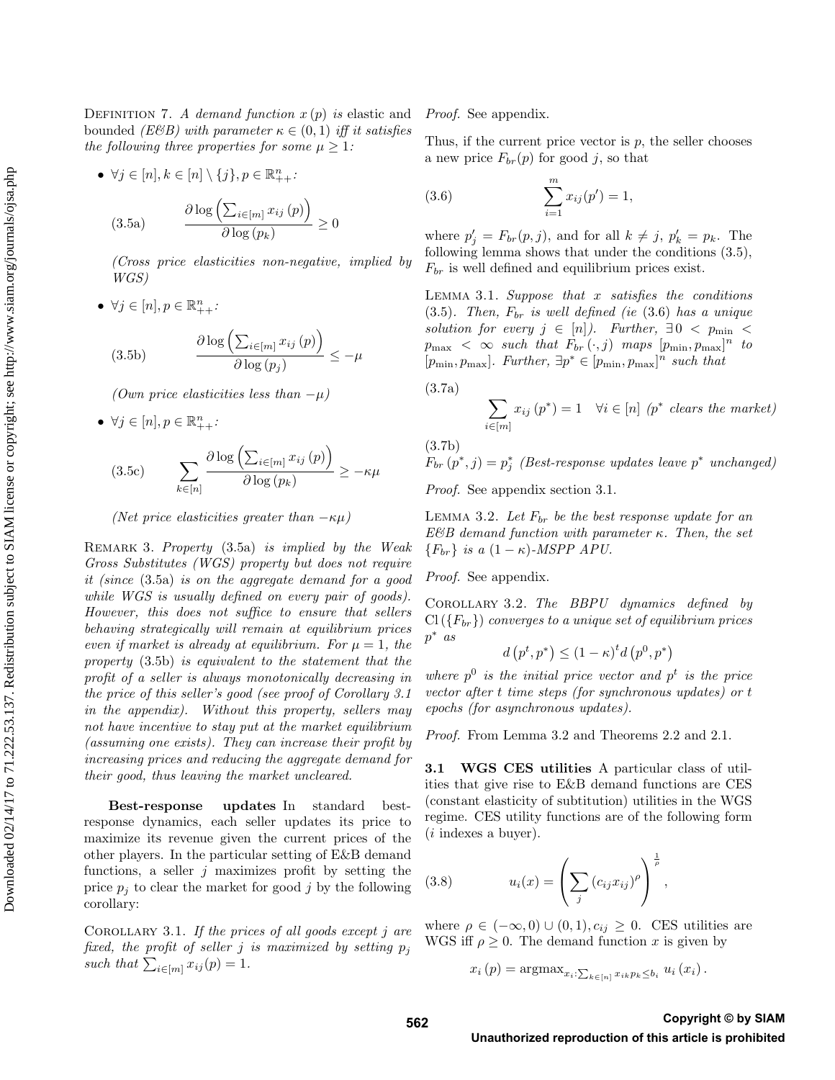DEFINITION 7. A demand function  $x(p)$  is elastic and bounded (E&B) with parameter  $\kappa \in (0,1)$  iff it satisfies the following three properties for some  $\mu \geq 1$ :

• 
$$
\forall j \in [n], k \in [n] \setminus \{j\}, p \in \mathbb{R}_{++}^n:
$$
  
(3.5a)
$$
\frac{\partial \log \left( \sum_{i \in [m]} x_{ij} (p) \right)}{\partial \log (p_k)} \ge 0
$$

(Cross price elasticities non-negative, implied by WGS)

• 
$$
\forall j \in [n], p \in \mathbb{R}_{++}^n:
$$

(3.5b) 
$$
\frac{\partial \log \left( \sum_{i \in [m]} x_{ij} \left( p \right) \right)}{\partial \log \left( p_j \right)} \leq -\mu
$$

(Own price elasticities less than  $-\mu$ )

•  $\forall j \in [n], p \in \mathbb{R}_{++}^n$ :

$$
(3.5c) \qquad \sum_{k \in [n]} \frac{\partial \log \left( \sum_{i \in [m]} x_{ij} \left( p \right) \right)}{\partial \log \left( p_k \right)} \geq -\kappa \mu
$$

(Net price elasticities greater than  $-\kappa\mu$ )

Remark 3. Property (3.5a) is implied by the Weak Gross Substitutes (WGS) property but does not require it (since (3.5a) is on the aggregate demand for a good while WGS is usually defined on every pair of goods). However, this does not suffice to ensure that sellers behaving strategically will remain at equilibrium prices even if market is already at equilibrium. For  $\mu = 1$ , the property (3.5b) is equivalent to the statement that the profit of a seller is always monotonically decreasing in the price of this seller's good (see proof of Corollary 3.1 in the appendix). Without this property, sellers may not have incentive to stay put at the market equilibrium (assuming one exists). They can increase their profit by increasing prices and reducing the aggregate demand for their good, thus leaving the market uncleared.

Best-response updates In standard bestresponse dynamics, each seller updates its price to maximize its revenue given the current prices of the other players. In the particular setting of E&B demand functions, a seller  $j$  maximizes profit by setting the price  $p_j$  to clear the market for good  $j$  by the following corollary:

COROLLARY 3.1. If the prices of all goods except j are fixed, the profit of seller j is maximized by setting  $p_j$ such that  $\sum_{i \in [m]} x_{ij}(p) = 1$ .

Proof. See appendix.

Thus, if the current price vector is  $p$ , the seller chooses a new price  $F_{br}(p)$  for good j, so that

(3.6) 
$$
\sum_{i=1}^{m} x_{ij}(p') = 1,
$$

where  $p'_{j} = F_{br}(p, j)$ , and for all  $k \neq j$ ,  $p'_{k} = p_{k}$ . The following lemma shows that under the conditions (3.5),  $F_{br}$  is well defined and equilibrium prices exist.

LEMMA 3.1. Suppose that  $x$  satisfies the conditions (3.5). Then,  $F_{br}$  is well defined (ie (3.6) has a unique solution for every  $j \in [n]$ ). Further,  $\exists 0 < p_{\min}$  $p_{\text{max}} < \infty$  such that  $F_{br}(\cdot, j)$  maps  $[p_{\text{min}}, p_{\text{max}}]^n$  to  $[p_{\min}, p_{\max}]$ . Further,  $\exists p^* \in [p_{\min}, p_{\max}]^n$  such that

.7a)  

$$
\sum_{i \in [m]} x_{ij} (p^*) = 1 \quad \forall i \in [n] \ (p^* \text{ class the market})
$$

 $F_{br}(p^*,j) = p_j^*$  (Best-response updates leave  $p^*$  unchanged) (3.7b)

Proof. See appendix section 3.1.

LEMMA 3.2. Let  $F_{br}$  be the best response update for an  $E\otimes B$  demand function with parameter κ. Then, the set  ${F_{br}}$  is a  $(1 - \kappa)$ -MSPP APU.

Proof. See appendix.

 $(3)$ 

Corollary 3.2. The BBPU dynamics defined by  $Cl({F}_{br})$  converges to a unique set of equilibrium prices p <sup>∗</sup> as

$$
d(p^t, p^*) \le (1 - \kappa)^t d(p^0, p^*)
$$

where  $p^0$  is the initial price vector and  $p^t$  is the price vector after t time steps (for synchronous updates) or t epochs (for asynchronous updates).

Proof. From Lemma 3.2 and Theorems 2.2 and 2.1.

3.1 WGS CES utilities A particular class of utilities that give rise to E&B demand functions are CES (constant elasticity of subtitution) utilities in the WGS regime. CES utility functions are of the following form  $(i$  indexes a buyer).

(3.8) 
$$
u_i(x) = \left(\sum_j (c_{ij} x_{ij})^\rho\right)^{\frac{1}{\rho}},
$$

where  $\rho \in (-\infty, 0) \cup (0, 1), c_{ij} \geq 0$ . CES utilities are WGS iff  $\rho \geq 0$ . The demand function x is given by

$$
x_i(p) = \operatorname{argmax}_{x_i:\sum_{k \in [n]} x_{ik}p_k \leq b_i} u_i(x_i).
$$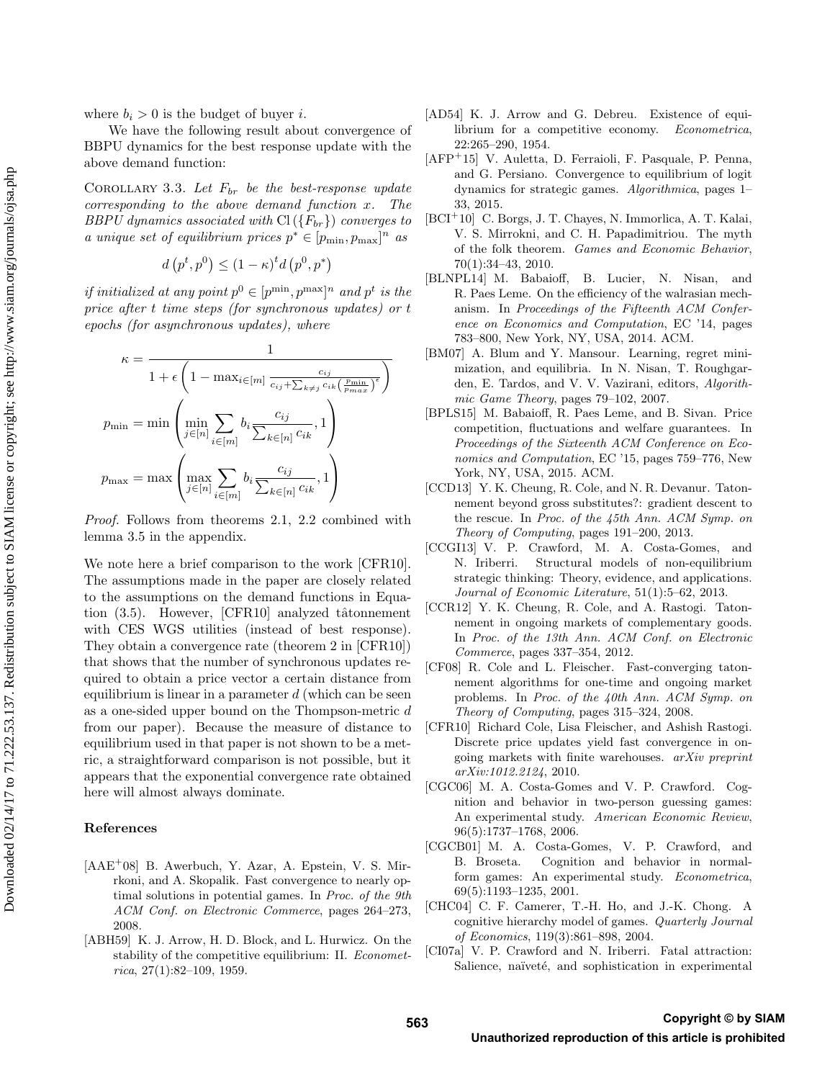Downloaded 02/14/17 to 71.222.53.137. Redistribution subject to SIAM license or copyright; see http://www.siam.org/journals/ojsa.php Downloaded 02/14/17 to 71.222.53.137. Redistribution subject to SIAM license or copyright; see http://www.siam.org/journals/ojsa.php where  $b_i > 0$  is the budget of buyer i.

We have the following result about convergence of BBPU dynamics for the best response update with the above demand function:

COROLLARY 3.3. Let  $F_{br}$  be the best-response update corresponding to the above demand function x. The BBPU dynamics associated with  $Cl({F}_{br})$  converges to a unique set of equilibrium prices  $p^* \in [p_{\min}, p_{\max}]^n$  as

$$
d(p^t, p^0) \le (1 - \kappa)^t d(p^0, p^*)
$$

if initialized at any point  $p^0 \in [p^{\min}, p^{\max}]^n$  and  $p^t$  is the price after t time steps (for synchronous updates) or t epochs (for asynchronous updates), where

$$
\kappa = \frac{1}{1 + \epsilon \left(1 - \max_{i \in [m]} \frac{c_{ij}}{c_{ij} + \sum_{k \neq j} c_{ik} \left(\frac{p_{\min}}{p_{max}}\right)^{\epsilon}}\right)}
$$

$$
p_{\min} = \min \left(\min_{j \in [n]} \sum_{i \in [m]} b_i \frac{c_{ij}}{\sum_{k \in [n]} c_{ik}}, 1\right)
$$

$$
p_{\max} = \max \left(\max_{j \in [n]} \sum_{i \in [m]} b_i \frac{c_{ij}}{\sum_{k \in [n]} c_{ik}}, 1\right)
$$

Proof. Follows from theorems 2.1, 2.2 combined with lemma 3.5 in the appendix.

We note here a brief comparison to the work [CFR10]. The assumptions made in the paper are closely related to the assumptions on the demand functions in Equation  $(3.5)$ . However,  $[CFR10]$  analyzed tâtonnement with CES WGS utilities (instead of best response). They obtain a convergence rate (theorem 2 in [CFR10]) that shows that the number of synchronous updates required to obtain a price vector a certain distance from equilibrium is linear in a parameter  $d$  (which can be seen as a one-sided upper bound on the Thompson-metric d from our paper). Because the measure of distance to equilibrium used in that paper is not shown to be a metric, a straightforward comparison is not possible, but it appears that the exponential convergence rate obtained here will almost always dominate.

#### References

- [AAE<sup>+</sup>08] B. Awerbuch, Y. Azar, A. Epstein, V. S. Mirrkoni, and A. Skopalik. Fast convergence to nearly optimal solutions in potential games. In Proc. of the 9th ACM Conf. on Electronic Commerce, pages 264–273, 2008.
- [ABH59] K. J. Arrow, H. D. Block, and L. Hurwicz. On the stability of the competitive equilibrium: II. Economet $rica, 27(1):82-109, 1959.$
- [AD54] K. J. Arrow and G. Debreu. Existence of equilibrium for a competitive economy. Econometrica, 22:265–290, 1954.
- [AFP<sup>+</sup>15] V. Auletta, D. Ferraioli, F. Pasquale, P. Penna, and G. Persiano. Convergence to equilibrium of logit dynamics for strategic games. Algorithmica, pages 1– 33, 2015.
- [BCI<sup>+</sup>10] C. Borgs, J. T. Chayes, N. Immorlica, A. T. Kalai, V. S. Mirrokni, and C. H. Papadimitriou. The myth of the folk theorem. Games and Economic Behavior, 70(1):34–43, 2010.
- [BLNPL14] M. Babaioff, B. Lucier, N. Nisan, and R. Paes Leme. On the efficiency of the walrasian mechanism. In Proceedings of the Fifteenth ACM Conference on Economics and Computation, EC '14, pages 783–800, New York, NY, USA, 2014. ACM.
- [BM07] A. Blum and Y. Mansour. Learning, regret minimization, and equilibria. In N. Nisan, T. Roughgarden, E. Tardos, and V. V. Vazirani, editors, Algorithmic Game Theory, pages 79–102, 2007.
- [BPLS15] M. Babaioff, R. Paes Leme, and B. Sivan. Price competition, fluctuations and welfare guarantees. In Proceedings of the Sixteenth ACM Conference on Economics and Computation, EC '15, pages 759–776, New York, NY, USA, 2015. ACM.
- [CCD13] Y. K. Cheung, R. Cole, and N. R. Devanur. Tatonnement beyond gross substitutes?: gradient descent to the rescue. In Proc. of the 45th Ann. ACM Symp. on Theory of Computing, pages 191–200, 2013.
- [CCGI13] V. P. Crawford, M. A. Costa-Gomes, and N. Iriberri. Structural models of non-equilibrium strategic thinking: Theory, evidence, and applications. Journal of Economic Literature, 51(1):5–62, 2013.
- [CCR12] Y. K. Cheung, R. Cole, and A. Rastogi. Tatonnement in ongoing markets of complementary goods. In Proc. of the 13th Ann. ACM Conf. on Electronic Commerce, pages 337–354, 2012.
- [CF08] R. Cole and L. Fleischer. Fast-converging tatonnement algorithms for one-time and ongoing market problems. In Proc. of the 40th Ann. ACM Symp. on Theory of Computing, pages 315–324, 2008.
- [CFR10] Richard Cole, Lisa Fleischer, and Ashish Rastogi. Discrete price updates yield fast convergence in ongoing markets with finite warehouses. arXiv preprint arXiv:1012.2124, 2010.
- [CGC06] M. A. Costa-Gomes and V. P. Crawford. Cognition and behavior in two-person guessing games: An experimental study. American Economic Review, 96(5):1737–1768, 2006.
- [CGCB01] M. A. Costa-Gomes, V. P. Crawford, and B. Broseta. Cognition and behavior in normalform games: An experimental study. Econometrica, 69(5):1193–1235, 2001.
- [CHC04] C. F. Camerer, T.-H. Ho, and J.-K. Chong. A cognitive hierarchy model of games. Quarterly Journal of Economics, 119(3):861–898, 2004.
- [CI07a] V. P. Crawford and N. Iriberri. Fatal attraction: Salience, naïveté, and sophistication in experimental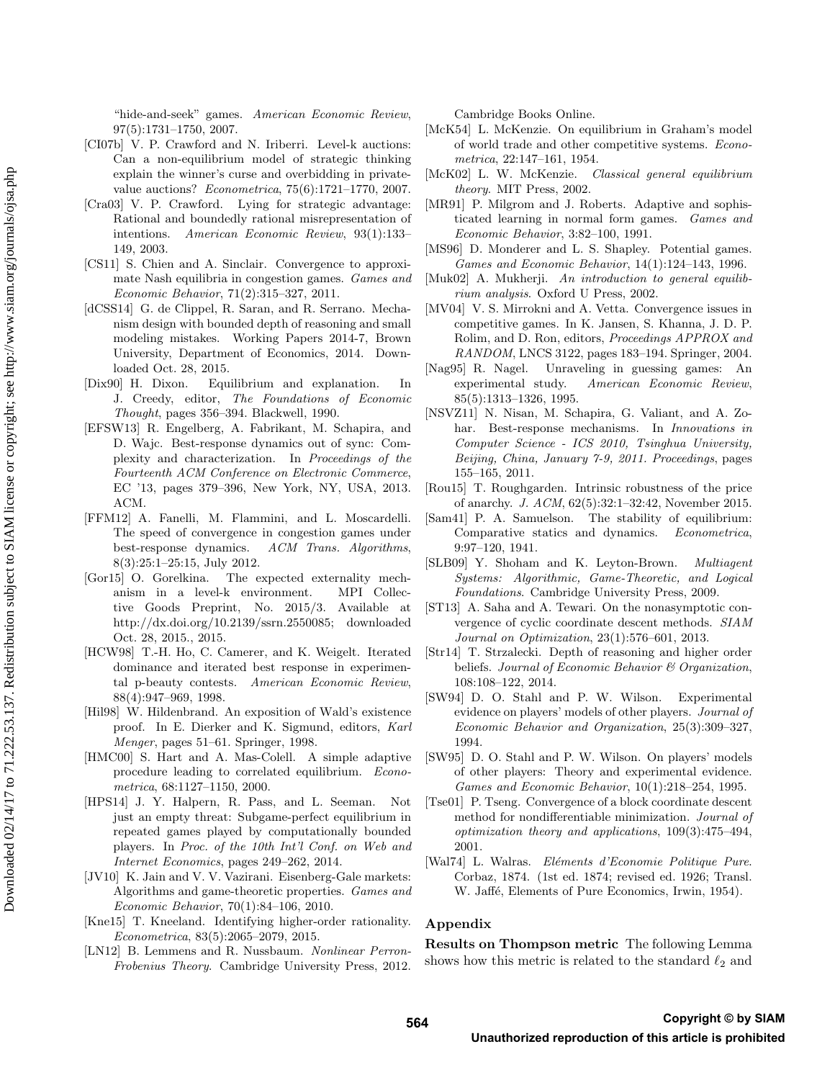"hide-and-seek" games. American Economic Review, 97(5):1731–1750, 2007.

- [CI07b] V. P. Crawford and N. Iriberri. Level-k auctions: Can a non-equilibrium model of strategic thinking explain the winner's curse and overbidding in privatevalue auctions? Econometrica, 75(6):1721–1770, 2007.
- [Cra03] V. P. Crawford. Lying for strategic advantage: Rational and boundedly rational misrepresentation of intentions. American Economic Review, 93(1):133– 149, 2003.
- [CS11] S. Chien and A. Sinclair. Convergence to approximate Nash equilibria in congestion games. Games and Economic Behavior, 71(2):315–327, 2011.
- [dCSS14] G. de Clippel, R. Saran, and R. Serrano. Mechanism design with bounded depth of reasoning and small modeling mistakes. Working Papers 2014-7, Brown University, Department of Economics, 2014. Downloaded Oct. 28, 2015.
- [Dix90] H. Dixon. Equilibrium and explanation. In J. Creedy, editor, The Foundations of Economic Thought, pages 356–394. Blackwell, 1990.
- [EFSW13] R. Engelberg, A. Fabrikant, M. Schapira, and D. Wajc. Best-response dynamics out of sync: Complexity and characterization. In Proceedings of the Fourteenth ACM Conference on Electronic Commerce, EC '13, pages 379–396, New York, NY, USA, 2013. ACM.
- [FFM12] A. Fanelli, M. Flammini, and L. Moscardelli. The speed of convergence in congestion games under best-response dynamics. ACM Trans. Algorithms, 8(3):25:1–25:15, July 2012.
- [Gor15] O. Gorelkina. The expected externality mechanism in a level-k environment. MPI Collective Goods Preprint, No. 2015/3. Available at http://dx.doi.org/10.2139/ssrn.2550085; downloaded Oct. 28, 2015., 2015.
- [HCW98] T.-H. Ho, C. Camerer, and K. Weigelt. Iterated dominance and iterated best response in experimental p-beauty contests. American Economic Review, 88(4):947–969, 1998.
- [Hil98] W. Hildenbrand. An exposition of Wald's existence proof. In E. Dierker and K. Sigmund, editors, Karl Menger, pages 51–61. Springer, 1998.
- [HMC00] S. Hart and A. Mas-Colell. A simple adaptive procedure leading to correlated equilibrium. Econometrica, 68:1127–1150, 2000.
- [HPS14] J. Y. Halpern, R. Pass, and L. Seeman. Not just an empty threat: Subgame-perfect equilibrium in repeated games played by computationally bounded players. In Proc. of the 10th Int'l Conf. on Web and Internet Economics, pages 249–262, 2014.
- [JV10] K. Jain and V. V. Vazirani. Eisenberg-Gale markets: Algorithms and game-theoretic properties. Games and Economic Behavior, 70(1):84–106, 2010.
- [Kne15] T. Kneeland. Identifying higher-order rationality. Econometrica, 83(5):2065–2079, 2015.
- [LN12] B. Lemmens and R. Nussbaum. Nonlinear Perron-Frobenius Theory. Cambridge University Press, 2012.

Cambridge Books Online.

- [McK54] L. McKenzie. On equilibrium in Graham's model of world trade and other competitive systems. Econometrica, 22:147–161, 1954.
- [McK02] L. W. McKenzie. Classical general equilibrium theory. MIT Press, 2002.
- [MR91] P. Milgrom and J. Roberts. Adaptive and sophisticated learning in normal form games. Games and Economic Behavior, 3:82–100, 1991.
- [MS96] D. Monderer and L. S. Shapley. Potential games. Games and Economic Behavior, 14(1):124–143, 1996.
- [Muk02] A. Mukherji. An introduction to general equilibrium analysis. Oxford U Press, 2002.
- [MV04] V. S. Mirrokni and A. Vetta. Convergence issues in competitive games. In K. Jansen, S. Khanna, J. D. P. Rolim, and D. Ron, editors, Proceedings APPROX and RANDOM, LNCS 3122, pages 183–194. Springer, 2004.
- [Nag95] R. Nagel. Unraveling in guessing games: An experimental study. American Economic Review, 85(5):1313–1326, 1995.
- [NSVZ11] N. Nisan, M. Schapira, G. Valiant, and A. Zohar. Best-response mechanisms. In Innovations in Computer Science - ICS 2010, Tsinghua University, Beijing, China, January 7-9, 2011. Proceedings, pages 155–165, 2011.
- [Rou15] T. Roughgarden. Intrinsic robustness of the price of anarchy. J. ACM, 62(5):32:1–32:42, November 2015.
- [Sam41] P. A. Samuelson. The stability of equilibrium: Comparative statics and dynamics. Econometrica, 9:97–120, 1941.
- [SLB09] Y. Shoham and K. Leyton-Brown. Multiagent Systems: Algorithmic, Game-Theoretic, and Logical Foundations. Cambridge University Press, 2009.
- [ST13] A. Saha and A. Tewari. On the nonasymptotic convergence of cyclic coordinate descent methods. SIAM Journal on Optimization, 23(1):576–601, 2013.
- [Str14] T. Strzalecki. Depth of reasoning and higher order beliefs. Journal of Economic Behavior & Organization, 108:108–122, 2014.
- [SW94] D. O. Stahl and P. W. Wilson. Experimental evidence on players' models of other players. Journal of Economic Behavior and Organization, 25(3):309–327, 1994.
- [SW95] D. O. Stahl and P. W. Wilson. On players' models of other players: Theory and experimental evidence. Games and Economic Behavior, 10(1):218–254, 1995.
- [Tse01] P. Tseng. Convergence of a block coordinate descent method for nondifferentiable minimization. Journal of optimization theory and applications, 109(3):475–494, 2001.
- [Wal74] L. Walras. Eléments d'Economie Politique Pure. Corbaz, 1874. (1st ed. 1874; revised ed. 1926; Transl. W. Jaffé, Elements of Pure Economics, Irwin, 1954).

#### Appendix

Results on Thompson metric The following Lemma shows how this metric is related to the standard  $\ell_2$  and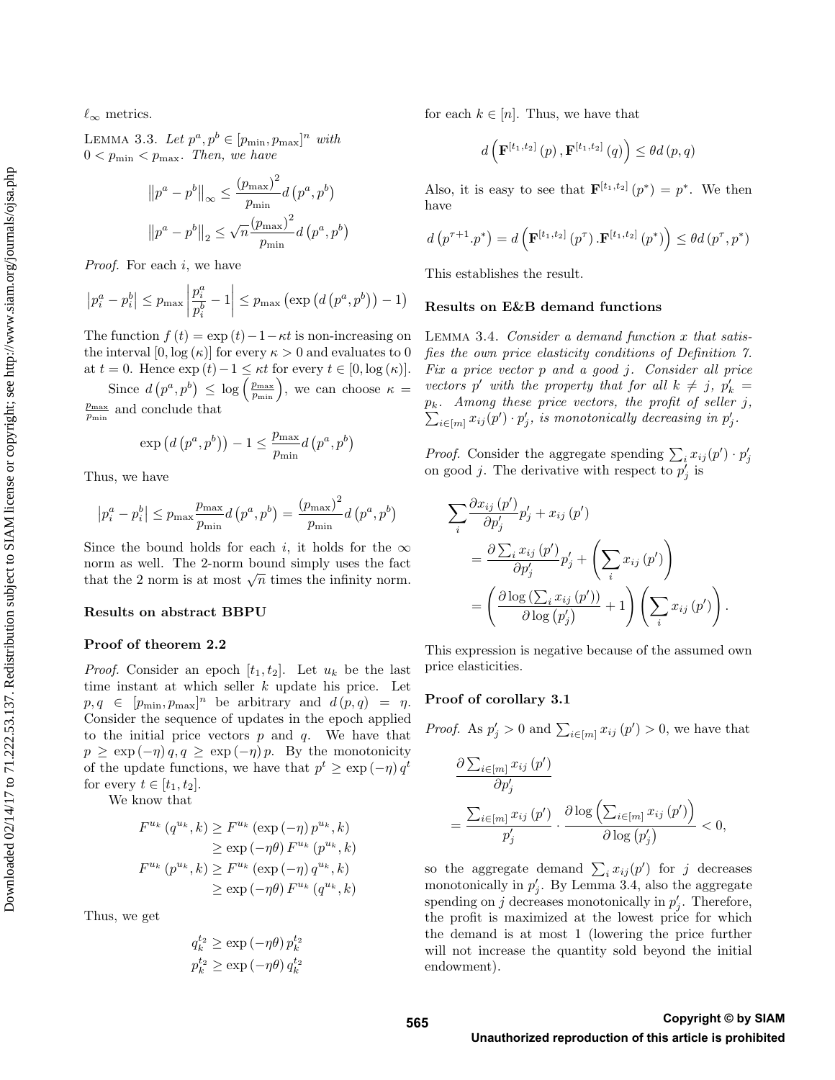$\ell_{\infty}$  metrics.

LEMMA 3.3. Let  $p^a, p^b \in [p_{\min}, p_{\max}]^n$  with  $0 < p_{\min} < p_{\max}$ . Then, we have

$$
||p^{a} - p^{b}||_{\infty} \leq \frac{(p_{\max})^{2}}{p_{\min}} d(p^{a}, p^{b})
$$

$$
||p^{a} - p^{b}||_{2} \leq \sqrt{n} \frac{(p_{\max})^{2}}{p_{\min}} d(p^{a}, p^{b})
$$

Proof. For each i, we have

$$
\left| p_i^a - p_i^b \right| \le p_{\text{max}} \left| \frac{p_i^a}{p_i^b} - 1 \right| \le p_{\text{max}} \left( \exp \left( d \left( p^a, p^b \right) \right) - 1 \right)
$$

The function  $f(t) = \exp(t) - 1 - \kappa t$  is non-increasing on the interval  $[0, \log(\kappa)]$  for every  $\kappa > 0$  and evaluates to 0 at  $t = 0$ . Hence  $\exp(t) - 1 \leq \kappa t$  for every  $t \in [0, \log(\kappa)].$ 

Since  $d(p^a, p^b) \leq \log\left(\frac{p_{\max}}{p_{\min}}\right)$ , we can choose  $\kappa =$  $\frac{p_{\text{max}}}{p_{\text{min}}}$  and conclude that

$$
\exp\left(d\left(p^{a}, p^{b}\right)\right) - 1 \leq \frac{p_{\max}}{p_{\min}} d\left(p^{a}, p^{b}\right)
$$

Thus, we have

$$
\left| p_i^a - p_i^b \right| \le p_{\text{max}} \frac{p_{\text{max}}}{p_{\text{min}}} d\left( p^a, p^b \right) = \frac{\left( p_{\text{max}} \right)^2}{p_{\text{min}}} d\left( p^a, p^b \right)
$$

Since the bound holds for each i, it holds for the  $\infty$ norm as well. The 2-norm bound simply uses the fact from as went. The 2-norm bound simply uses the fact that the 2 norm is at most  $\sqrt{n}$  times the infinity norm.

#### Results on abstract BBPU

## Proof of theorem 2.2

*Proof.* Consider an epoch  $[t_1, t_2]$ . Let  $u_k$  be the last time instant at which seller  $k$  update his price. Let  $p, q \in [p_{\min}, p_{\max}]^n$  be arbitrary and  $d(p, q) = n$ . Consider the sequence of updates in the epoch applied to the initial price vectors  $p$  and  $q$ . We have that  $p \geq \exp(-\eta) q, q \geq \exp(-\eta) p$ . By the monotonicity of the update functions, we have that  $p^t \geq \exp(-\eta) q^t$ for every  $t \in [t_1, t_2]$ .

We know that

$$
F^{u_k} (q^{u_k}, k) \ge F^{u_k} (\exp(-\eta) p^{u_k}, k)
$$
  
\n
$$
\ge \exp(-\eta \theta) F^{u_k} (p^{u_k}, k)
$$
  
\n
$$
F^{u_k} (p^{u_k}, k) \ge F^{u_k} (\exp(-\eta) q^{u_k}, k)
$$
  
\n
$$
\ge \exp(-\eta \theta) F^{u_k} (q^{u_k}, k)
$$

Thus, we get

$$
q_k^{t_2} \ge \exp\left(-\eta\theta\right) p_k^{t_2}
$$

$$
p_k^{t_2} \ge \exp\left(-\eta\theta\right) q_k^{t_2}
$$

for each  $k \in [n]$ . Thus, we have that

$$
d\left(\mathbf{F}^{[t_1,t_2]}\left(p\right),\mathbf{F}^{[t_1,t_2]}\left(q\right)\right)\leq \theta d\left(p,q\right)
$$

Also, it is easy to see that  $\mathbf{F}^{[t_1,t_2]}(p^*)=p^*$ . We then have

$$
d(p^{\tau+1} \cdot p^*) = d\left(\mathbf{F}^{[t_1, t_2]}(p^{\tau}) \cdot \mathbf{F}^{[t_1, t_2]}(p^*)\right) \leq \theta d(p^{\tau}, p^*)
$$

This establishes the result.

## Results on E&B demand functions

LEMMA 3.4. Consider a demand function  $x$  that satisfies the own price elasticity conditions of Definition 7. Fix a price vector p and a good j. Consider all price vectors p' with the property that for all  $k \neq j$ ,  $p'_{k} =$ p <sup>k</sup>. Among these price vectors, the profit of seller j,  $\sum_{i \in [m]} x_{ij}(p') \cdot p'_j$ , is monotonically decreasing in  $p'_j$ .

*Proof.* Consider the aggregate spending  $\sum_i x_{ij} (p') \cdot p'_j$ on good *j*. The derivative with respect to  $p'_j$  is

$$
\sum_{i} \frac{\partial x_{ij} (p')}{\partial p'_j} p'_j + x_{ij} (p')
$$
  
= 
$$
\frac{\partial \sum_{i} x_{ij} (p')}{\partial p'_j} p'_j + \left(\sum_i x_{ij} (p')\right)
$$
  
= 
$$
\left(\frac{\partial \log (\sum_i x_{ij} (p'))}{\partial \log (p'_j)} + 1\right) \left(\sum_i x_{ij} (p')\right).
$$

This expression is negative because of the assumed own price elasticities.

## Proof of corollary 3.1

*Proof.* As  $p'_j > 0$  and  $\sum_{i \in [m]} x_{ij} (p') > 0$ , we have that

$$
\frac{\partial \sum_{i \in [m]} x_{ij} (p')}{\partial p'_j}
$$
\n
$$
= \frac{\sum_{i \in [m]} x_{ij} (p')}{p'_j} \cdot \frac{\partial \log \left( \sum_{i \in [m]} x_{ij} (p') \right)}{\partial \log (p'_j)} < 0,
$$

so the aggregate demand  $\sum_i x_{ij}(p')$  for j decreases monotonically in  $p'_j$ . By Lemma 3.4, also the aggregate spending on j decreases monotonically in  $p'_j$ . Therefore, the profit is maximized at the lowest price for which the demand is at most 1 (lowering the price further will not increase the quantity sold beyond the initial endowment).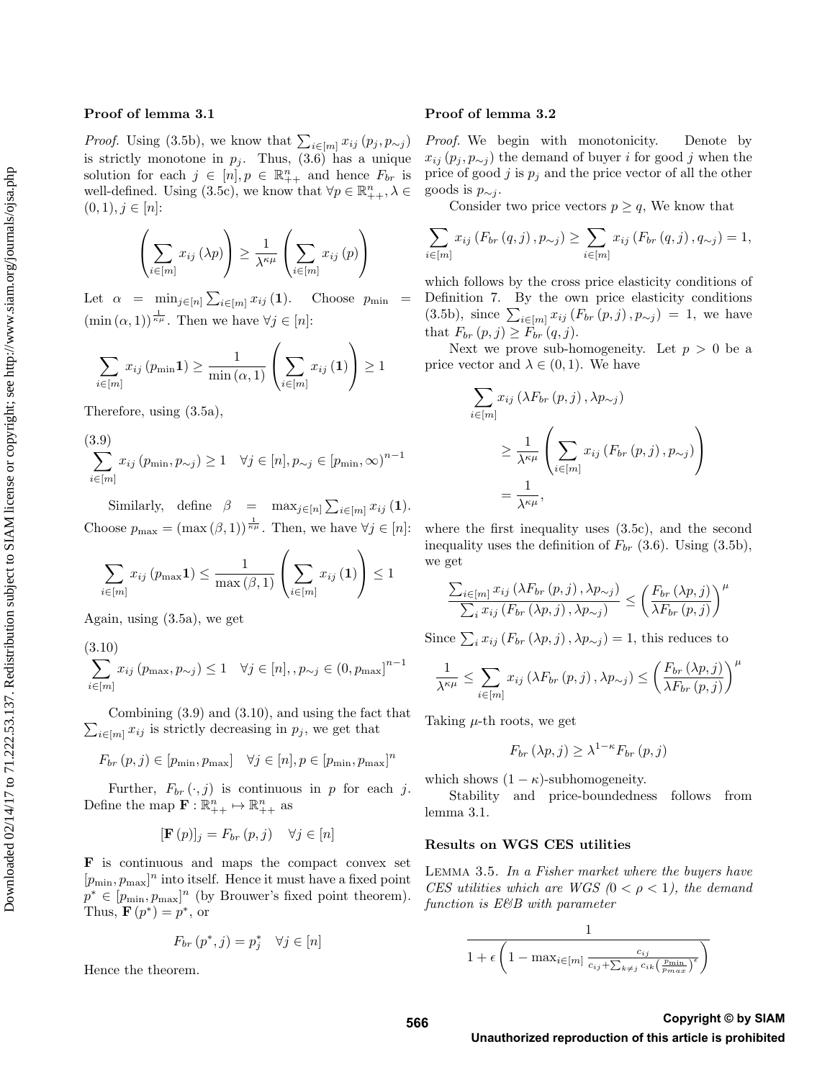#### Proof of lemma 3.1

*Proof.* Using (3.5b), we know that  $\sum_{i \in [m]} x_{ij} (p_j, p_{\sim j})$ is strictly monotone in  $p_i$ . Thus, (3.6) has a unique solution for each  $j \in [n], p \in \mathbb{R}_{++}^n$  and hence  $F_{br}$  is well-defined. Using (3.5c), we know that  $\forall p \in \mathbb{R}_{++}^n, \lambda \in$  $(0, 1), j \in [n]:$ 

$$
\left(\sum_{i \in [m]} x_{ij} (\lambda p)\right) \ge \frac{1}{\lambda^{\kappa \mu}} \left(\sum_{i \in [m]} x_{ij} (p)\right)
$$

Let  $\alpha = \min_{j \in [n]} \sum_{i \in [m]} x_{ij} (1)$ . Choose  $p_{\min}$  $(\min(\alpha, 1))^{\frac{1}{\kappa \mu}}$ . Then we have  $\forall j \in [n]$ :

$$
\sum_{i \in [m]} x_{ij} (p_{\min} \mathbf{1}) \ge \frac{1}{\min(\alpha, 1)} \left( \sum_{i \in [m]} x_{ij} \left( \mathbf{1} \right) \right) \ge 1
$$

Therefore, using (3.5a),

$$
\sum_{i \in [m]} x_{ij} (p_{\min}, p_{\sim j}) \ge 1 \quad \forall j \in [n], p_{\sim j} \in [p_{\min}, \infty)^{n-1}
$$

Similarly, define  $\beta = \max_{j \in [n]} \sum_{i \in [m]} x_{ij} (1)$ . Choose  $p_{\text{max}} = (\max(\beta, 1))^{\frac{1}{\kappa \mu}}$ . Then, we have  $\forall j \in [n]$ :

$$
\sum_{i \in [m]} x_{ij} \left( p_{\max} \mathbf{1} \right) \le \frac{1}{\max \left( \beta, 1 \right)} \left( \sum_{i \in [m]} x_{ij} \left( \mathbf{1} \right) \right) \le 1
$$

Again, using (3.5a), we get

$$
\sum_{i \in [m]} x_{ij} (p_{\max}, p_{\sim j}) \le 1 \quad \forall j \in [n], p_{\sim j} \in (0, p_{\max}]^{n-1}
$$

 $\sum_{i\in[m]} x_{ij}$  is strictly decreasing in  $p_j$ , we get that Combining (3.9) and (3.10), and using the fact that

$$
F_{br}(p,j) \in [p_{\min}, p_{\max}] \quad \forall j \in [n], p \in [p_{\min}, p_{\max}]^n
$$

Further,  $F_{br}(\cdot, j)$  is continuous in p for each j. Define the map  $\mathbf{F} : \mathbb{R}_{++}^n \mapsto \mathbb{R}_{++}^n$  as

$$
[\mathbf{F}(p)]_j = F_{br}(p, j) \quad \forall j \in [n]
$$

F is continuous and maps the compact convex set  $[p_{\min}, p_{\max}]^n$  into itself. Hence it must have a fixed point  $p^* \in [p_{\min}, p_{\max}]^n$  (by Brouwer's fixed point theorem). Thus,  $\mathbf{F}(p^*) = p^*$ , or

$$
F_{br} (p^*, j) = p_j^* \quad \forall j \in [n]
$$

Hence the theorem.

## Proof of lemma 3.2

Proof. We begin with monotonicity. Denote by  $x_{ij}$  ( $p_j, p_{\sim j}$ ) the demand of buyer i for good j when the price of good  $j$  is  $p_j$  and the price vector of all the other goods is  $p_{\sim j}$ .

Consider two price vectors  $p \geq q$ , We know that

$$
\sum_{i \in [m]} x_{ij} (F_{br} (q, j), p_{\sim j}) \ge \sum_{i \in [m]} x_{ij} (F_{br} (q, j), q_{\sim j}) = 1,
$$

which follows by the cross price elasticity conditions of Definition 7. By the own price elasticity conditions (3.5b), since  $\sum_{i \in [m]} x_{ij} (F_{br}(p, j), p_{\sim j}) = 1$ , we have that  $F_{br}(p, j) \geq F_{br}(q, j)$ .

Next we prove sub-homogeneity. Let  $p > 0$  be a price vector and  $\lambda \in (0,1)$ . We have

$$
\sum_{i \in [m]} x_{ij} (\lambda F_{br}(p, j), \lambda p_{\sim j})
$$
\n
$$
\geq \frac{1}{\lambda^{\kappa \mu}} \left( \sum_{i \in [m]} x_{ij} (F_{br}(p, j), p_{\sim j}) \right)
$$
\n
$$
= \frac{1}{\lambda^{\kappa \mu}},
$$

where the first inequality uses (3.5c), and the second inequality uses the definition of  $F_{br}$  (3.6). Using (3.5b), we get

$$
\frac{\sum_{i \in [m]} x_{ij} (\lambda F_{br} (p, j), \lambda p_{\sim j})}{\sum_{i} x_{ij} (F_{br} (\lambda p, j), \lambda p_{\sim j})} \leq \left(\frac{F_{br} (\lambda p, j)}{\lambda F_{br} (p, j)}\right)^{\mu}
$$

Since  $\sum_i x_{ij} (F_{br} (\lambda p, j), \lambda p_{\sim j}) = 1$ , this reduces to

$$
\frac{1}{\lambda^{\kappa\mu}} \le \sum_{i \in [m]} x_{ij} \left( \lambda F_{br} \left( p, j \right), \lambda p_{\sim j} \right) \le \left( \frac{F_{br} \left( \lambda p, j \right)}{\lambda F_{br} \left( p, j \right)} \right)^{\mu}
$$

Taking  $\mu$ -th roots, we get

$$
F_{br}(\lambda p, j) \ge \lambda^{1-\kappa} F_{br}(p, j)
$$

which shows  $(1 - \kappa)$ -subhomogeneity.

Stability and price-boundedness follows from lemma 3.1.

#### Results on WGS CES utilities

Lemma 3.5. In a Fisher market where the buyers have CES utilities which are WGS  $(0 < \rho < 1)$ , the demand function is E&B with parameter

$$
\frac{1}{1 + \epsilon \left(1 - \max_{i \in [m]} \frac{c_{ij}}{c_{ij} + \sum_{k \neq j} c_{ik} \left(\frac{p_{\min}}{p_{max}}\right)^{\epsilon}}\right)}
$$

**566 Copyright © by SIAM Unauthorized reproduction of this article is prohibited**